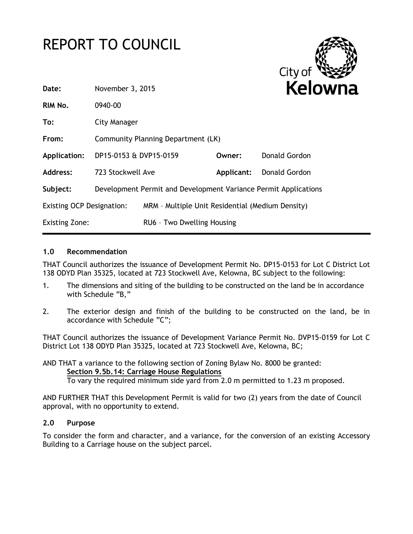# REPORT TO COUNCIL



| Date:                            | November 3, 2015                                 |                                                                 | <b>Kelow</b> |               |
|----------------------------------|--------------------------------------------------|-----------------------------------------------------------------|--------------|---------------|
| RIM No.                          | 0940-00                                          |                                                                 |              |               |
| To:                              | <b>City Manager</b>                              |                                                                 |              |               |
| From:                            |                                                  | Community Planning Department (LK)                              |              |               |
| Application:                     | DP15-0153 & DVP15-0159                           |                                                                 | Owner:       | Donald Gordon |
| Address:                         | 723 Stockwell Ave                                |                                                                 | Applicant:   | Donald Gordon |
| Subject:                         |                                                  | Development Permit and Development Variance Permit Applications |              |               |
| <b>Existing OCP Designation:</b> | MRM - Multiple Unit Residential (Medium Density) |                                                                 |              |               |
| <b>Existing Zone:</b>            |                                                  | RU6 - Two Dwelling Housing                                      |              |               |
|                                  |                                                  |                                                                 |              |               |

# **1.0 Recommendation**

THAT Council authorizes the issuance of Development Permit No. DP15-0153 for Lot C District Lot 138 ODYD Plan 35325, located at 723 Stockwell Ave, Kelowna, BC subject to the following:

- 1. The dimensions and siting of the building to be constructed on the land be in accordance with Schedule "B,"
- 2. The exterior design and finish of the building to be constructed on the land, be in accordance with Schedule "C";

THAT Council authorizes the issuance of Development Variance Permit No. DVP15-0159 for Lot C District Lot 138 ODYD Plan 35325, located at 723 Stockwell Ave, Kelowna, BC;

AND THAT a variance to the following section of Zoning Bylaw No. 8000 be granted: **Section 9.5b.14: Carriage House Regulations** To vary the required minimum side yard from 2.0 m permitted to 1.23 m proposed.

AND FURTHER THAT this Development Permit is valid for two (2) years from the date of Council approval, with no opportunity to extend.

# **2.0 Purpose**

To consider the form and character, and a variance, for the conversion of an existing Accessory Building to a Carriage house on the subject parcel.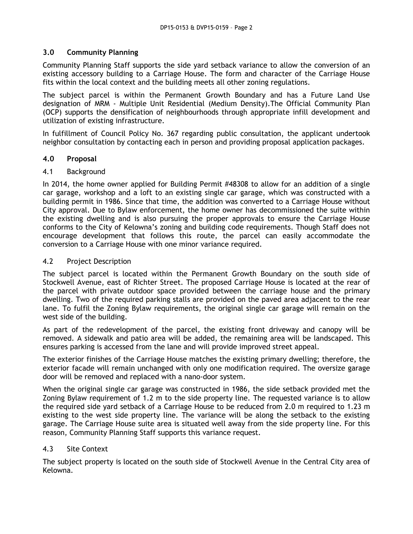# **3.0 Community Planning**

Community Planning Staff supports the side yard setback variance to allow the conversion of an existing accessory building to a Carriage House. The form and character of the Carriage House fits within the local context and the building meets all other zoning regulations.

The subject parcel is within the Permanent Growth Boundary and has a Future Land Use designation of MRM - Multiple Unit Residential (Medium Density).The Official Community Plan (OCP) supports the densification of neighbourhoods through appropriate infill development and utilization of existing infrastructure.

In fulfillment of Council Policy No. 367 regarding public consultation, the applicant undertook neighbor consultation by contacting each in person and providing proposal application packages.

# **4.0 Proposal**

#### 4.1 Background

In 2014, the home owner applied for Building Permit #48308 to allow for an addition of a single car garage, workshop and a loft to an existing single car garage, which was constructed with a building permit in 1986. Since that time, the addition was converted to a Carriage House without City approval. Due to Bylaw enforcement, the home owner has decommissioned the suite within the existing dwelling and is also pursuing the proper approvals to ensure the Carriage House conforms to the City of Kelowna's zoning and building code requirements. Though Staff does not encourage development that follows this route, the parcel can easily accommodate the conversion to a Carriage House with one minor variance required.

#### 4.2 Project Description

The subject parcel is located within the Permanent Growth Boundary on the south side of Stockwell Avenue, east of Richter Street. The proposed Carriage House is located at the rear of the parcel with private outdoor space provided between the carriage house and the primary dwelling. Two of the required parking stalls are provided on the paved area adjacent to the rear lane. To fulfil the Zoning Bylaw requirements, the original single car garage will remain on the west side of the building.

As part of the redevelopment of the parcel, the existing front driveway and canopy will be removed. A sidewalk and patio area will be added, the remaining area will be landscaped. This ensures parking is accessed from the lane and will provide improved street appeal.

The exterior finishes of the Carriage House matches the existing primary dwelling; therefore, the exterior facade will remain unchanged with only one modification required. The oversize garage door will be removed and replaced with a nano-door system.

When the original single car garage was constructed in 1986, the side setback provided met the Zoning Bylaw requirement of 1.2 m to the side property line. The requested variance is to allow the required side yard setback of a Carriage House to be reduced from 2.0 m required to 1.23 m existing to the west side property line. The variance will be along the setback to the existing garage. The Carriage House suite area is situated well away from the side property line. For this reason, Community Planning Staff supports this variance request.

# 4.3 Site Context

The subject property is located on the south side of Stockwell Avenue in the Central City area of Kelowna.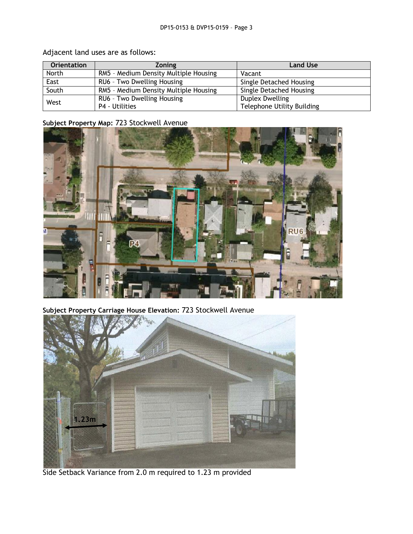| <b>Orientation</b> | <b>Zoning</b>                         | <b>Land Use</b>                   |
|--------------------|---------------------------------------|-----------------------------------|
| North              | RM5 - Medium Density Multiple Housing | Vacant                            |
| East               | RU6 - Two Dwelling Housing            | Single Detached Housing           |
| South              | RM5 - Medium Density Multiple Housing | Single Detached Housing           |
| West               | RU6 - Two Dwelling Housing            | Duplex Dwelling                   |
|                    | <b>P4 - Utilities</b>                 | <b>Telephone Utility Building</b> |

Adjacent land uses are as follows:

# **Subject Property Map:** 723 Stockwell Avenue



**Subject Property Carriage House Elevation:** 723 Stockwell Avenue



Side Setback Variance from 2.0 m required to 1.23 m provided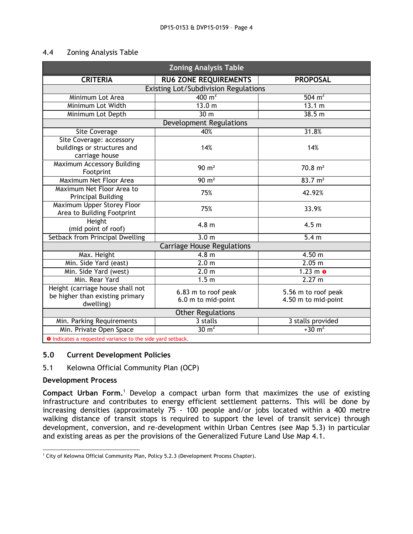#### 4.4 Zoning Analysis Table

| <b>Zoning Analysis Table</b>                                                     |                                           |                                            |  |  |
|----------------------------------------------------------------------------------|-------------------------------------------|--------------------------------------------|--|--|
| <b>CRITERIA</b>                                                                  | <b>RU6 ZONE REQUIREMENTS</b>              | <b>PROPOSAL</b>                            |  |  |
|                                                                                  | Existing Lot/Subdivision Regulations      |                                            |  |  |
| Minimum Lot Area                                                                 | $\frac{400 \text{ m}^2}{ }$               | $504 \text{ m}^2$                          |  |  |
| Minimum Lot Width                                                                | 13.0 <sub>m</sub>                         | 13.1 m                                     |  |  |
| Minimum Lot Depth                                                                | 30 <sub>m</sub>                           | 38.5 m                                     |  |  |
|                                                                                  | <b>Development Regulations</b>            |                                            |  |  |
| <b>Site Coverage</b>                                                             | 40%                                       | 31.8%                                      |  |  |
| Site Coverage: accessory<br>buildings or structures and<br>carriage house        | 14%                                       | 14%                                        |  |  |
| Maximum Accessory Building<br>Footprint                                          | $90 \text{ m}^2$                          | $70.8 \text{ m}^2$                         |  |  |
| Maximum Net Floor Area                                                           | $90 \text{ m}^2$                          | 83.7 m <sup>2</sup>                        |  |  |
| Maximum Net Floor Area to<br><b>Principal Building</b>                           | 75%                                       | 42.92%                                     |  |  |
| <b>Maximum Upper Storey Floor</b><br>Area to Building Footprint                  | 75%                                       | 33.9%                                      |  |  |
| Height<br>(mid point of roof)                                                    | 4.8 <sub>m</sub>                          | 4.5 <sub>m</sub>                           |  |  |
| Setback from Principal Dwelling                                                  | 3.0 <sub>m</sub>                          | 5.4 <sub>m</sub>                           |  |  |
| <b>Carriage House Regulations</b>                                                |                                           |                                            |  |  |
| Max. Height                                                                      | 4.8 <sub>m</sub>                          | 4.50 m                                     |  |  |
| Min. Side Yard (east)                                                            | 2.0 <sub>m</sub>                          | 2.05 m                                     |  |  |
| Min. Side Yard (west)                                                            | 2.0 <sub>m</sub>                          | $1.23$ m $\bullet$                         |  |  |
| Min. Rear Yard                                                                   | 1.5 <sub>m</sub>                          | 2.27 m                                     |  |  |
| Height (carriage house shall not<br>be higher than existing primary<br>dwelling) | 6.83 m to roof peak<br>6.0 m to mid-point | 5.56 m to roof peak<br>4.50 m to mid-point |  |  |
| <b>Other Regulations</b>                                                         |                                           |                                            |  |  |
| Min. Parking Requirements                                                        | 3 stalls                                  | 3 stalls provided                          |  |  |
| Min. Private Open Space                                                          | $30 \text{ m}^2$                          | $+30 \text{ m}^2$                          |  |  |
| a Indicator a requested variance to the side vard setback                        |                                           |                                            |  |  |

**I O** Indica

#### **5.0 Current Development Policies**

#### 5.1 Kelowna Official Community Plan (OCP)

#### **Development Process**

**Compact Urban Form.**<sup>1</sup> Develop a compact urban form that maximizes the use of existing infrastructure and contributes to energy efficient settlement patterns. This will be done by increasing densities (approximately 75 - 100 people and/or jobs located within a 400 metre walking distance of transit stops is required to support the level of transit service) through development, conversion, and re-development within Urban Centres (see Map 5.3) in particular and existing areas as per the provisions of the Generalized Future Land Use Map 4.1.

<sup>1</sup>  $1$  City of Kelowna Official Community Plan, Policy 5.2.3 (Development Process Chapter).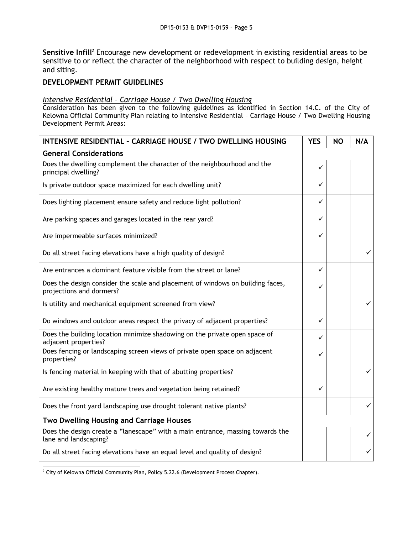Sensitive Infill<sup>2</sup> Encourage new development or redevelopment in existing residential areas to be sensitive to or reflect the character of the neighborhood with respect to building design, height and siting.

# **DEVELOPMENT PERMIT GUIDELINES**

#### *Intensive Residential – Carriage House / Two Dwelling Housing*

Consideration has been given to the following guidelines as identified in Section 14.C. of the City of Kelowna Official Community Plan relating to Intensive Residential – Carriage House / Two Dwelling Housing Development Permit Areas:

| <b>INTENSIVE RESIDENTIAL - CARRIAGE HOUSE / TWO DWELLING HOUSING</b>                                       | <b>YES</b> | <b>NO</b> | N/A |
|------------------------------------------------------------------------------------------------------------|------------|-----------|-----|
| <b>General Considerations</b>                                                                              |            |           |     |
| Does the dwelling complement the character of the neighbourhood and the<br>principal dwelling?             | ✓          |           |     |
| Is private outdoor space maximized for each dwelling unit?                                                 | ✓          |           |     |
| Does lighting placement ensure safety and reduce light pollution?                                          | ✓          |           |     |
| Are parking spaces and garages located in the rear yard?                                                   | ✓          |           |     |
| Are impermeable surfaces minimized?                                                                        | ✓          |           |     |
| Do all street facing elevations have a high quality of design?                                             |            |           | ✓   |
| Are entrances a dominant feature visible from the street or lane?                                          | ✓          |           |     |
| Does the design consider the scale and placement of windows on building faces,<br>projections and dormers? | ✓          |           |     |
| Is utility and mechanical equipment screened from view?                                                    |            |           | ✓   |
| Do windows and outdoor areas respect the privacy of adjacent properties?                                   | ✓          |           |     |
| Does the building location minimize shadowing on the private open space of<br>adjacent properties?         | ✓          |           |     |
| Does fencing or landscaping screen views of private open space on adjacent<br>properties?                  | ✓          |           |     |
| Is fencing material in keeping with that of abutting properties?                                           |            |           | ✓   |
| Are existing healthy mature trees and vegetation being retained?                                           | ✓          |           |     |
| Does the front yard landscaping use drought tolerant native plants?                                        |            |           | ✓   |
| Two Dwelling Housing and Carriage Houses                                                                   |            |           |     |
| Does the design create a "lanescape" with a main entrance, massing towards the<br>lane and landscaping?    |            |           | ✓   |
| Do all street facing elevations have an equal level and quality of design?                                 |            |           | ✓   |

<sup>1</sup>  $^2$  City of Kelowna Official Community Plan, Policy 5.22.6 (Development Process Chapter).